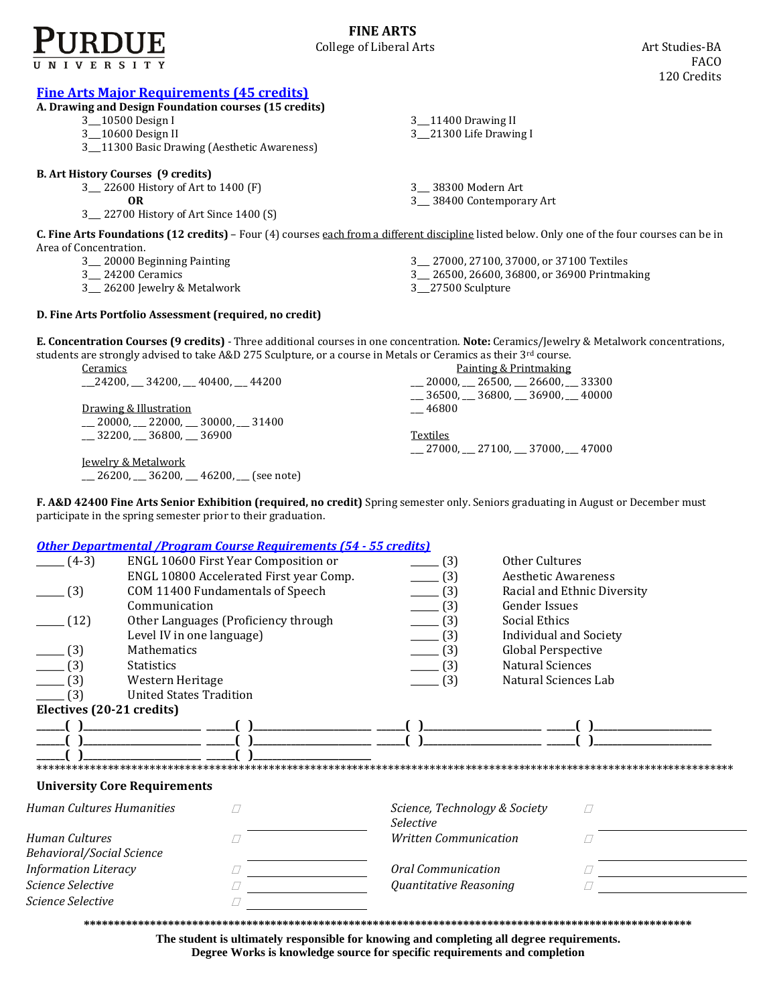

**FINE ARTS** College of Liberal Arts **Art Studies-BA** 

| <b>Fine Arts Major Requirements (45 credits)</b><br>A. Drawing and Design Foundation courses (15 credits)<br>3 10500 Design I<br>3_10600 Design II<br>3_11300 Basic Drawing (Aesthetic Awareness)                                                                                                                                                                                                     | 3 11400 Drawing II<br>3_21300 Life Drawing I                                                                        |
|-------------------------------------------------------------------------------------------------------------------------------------------------------------------------------------------------------------------------------------------------------------------------------------------------------------------------------------------------------------------------------------------------------|---------------------------------------------------------------------------------------------------------------------|
| <b>B. Art History Courses (9 credits)</b><br>3 22600 History of Art to 1400 (F)<br>0 <sub>R</sub><br>3_ 22700 History of Art Since 1400 (S)                                                                                                                                                                                                                                                           | 3__ 38300 Modern Art<br>3__ 38400 Contemporary Art                                                                  |
| C. Fine Arts Foundations (12 credits) - Four (4) courses each from a different discipline listed below. Only one of the four courses can be in<br>Area of Concentration.<br>3 <sub>_</sub> 20000 Beginning Painting<br>3 24200 Ceramics<br>3_ 26200 Jewelry & Metalwork                                                                                                                               | 3 27000, 27100, 37000, or 37100 Textiles<br>3_ 26500, 26600, 36800, or 36900 Printmaking<br>3_27500 Sculpture       |
| D. Fine Arts Portfolio Assessment (required, no credit)                                                                                                                                                                                                                                                                                                                                               |                                                                                                                     |
| E. Concentration Courses (9 credits) - Three additional courses in one concentration. Note: Ceramics/Jewelry & Metalwork concentrations,<br>students are strongly advised to take A&D 275 Sculpture, or a course in Metals or Ceramics as their $3^{rd}$ course.<br>Ceramics<br>24200, 34200, 40400, 44200<br>Drawing & Illustration<br>$\sim$ 20000, 22000, 30000, 31400<br>$-32200, -36800, -36900$ | Painting & Printmaking<br>$-20000, -26500, -26600, -33300$<br>$-36500, -36800, -36900, -40000$<br>46800<br>Textiles |

Jewelry & Metalwork  $\boxed{\phantom{000}-26200,-36200,-46200,-86200}$  (see note)

**F. A&D 42400 Fine Arts Senior Exhibition (required, no credit)** Spring semester only. Seniors graduating in August or December must participate in the spring semester prior to their graduation.

\_\_\_ 27000, \_\_\_ 27100, \_\_\_ 37000, \_\_\_ 47000

## *[Other Departmental /Program Course Requirements \(54](http://www.cla.purdue.edu/academics/programs/pos/core201210v3.pdf) - 55 credits)*

|                             | <u>uiti Duparuntumi ji rugi ani uuarut Ituqan unitiitu juli UU trentu</u> |                               |                             |
|-----------------------------|---------------------------------------------------------------------------|-------------------------------|-----------------------------|
| $(4-3)$                     | ENGL 10600 First Year Composition or                                      | (3)                           | Other Cultures              |
|                             | ENGL 10800 Accelerated First year Comp.                                   | (3)                           | <b>Aesthetic Awareness</b>  |
| (3)                         | COM 11400 Fundamentals of Speech                                          | (3)                           | Racial and Ethnic Diversity |
|                             | Communication                                                             | (3)                           | Gender Issues               |
| (12)                        | Other Languages (Proficiency through                                      | (3)                           | Social Ethics               |
|                             | Level IV in one language)                                                 | (3)                           | Individual and Society      |
| (3)                         | <b>Mathematics</b>                                                        | (3)                           | <b>Global Perspective</b>   |
| (3)                         | <b>Statistics</b>                                                         | (3)                           | <b>Natural Sciences</b>     |
| (3)                         | Western Heritage                                                          | (3)                           | Natural Sciences Lab        |
| (3)                         | <b>United States Tradition</b>                                            |                               |                             |
| Electives (20-21 credits)   |                                                                           |                               |                             |
|                             |                                                                           |                               |                             |
|                             |                                                                           |                               |                             |
|                             |                                                                           |                               |                             |
|                             |                                                                           |                               |                             |
|                             | <b>University Core Requirements</b>                                       |                               |                             |
| Human Cultures Humanities   |                                                                           | Science, Technology & Society | П                           |
|                             |                                                                           | <b>Selective</b>              |                             |
| Human Cultures              |                                                                           | <b>Written Communication</b>  |                             |
| Behavioral/Social Science   |                                                                           |                               |                             |
| <b>Information Literacy</b> |                                                                           | Oral Communication            |                             |
| Science Selective           |                                                                           | Quantitative Reasoning        |                             |
| Science Selective           |                                                                           |                               |                             |
|                             |                                                                           |                               |                             |

**\*\*\*\*\*\*\*\*\*\*\*\*\*\*\*\*\*\*\*\*\*\*\*\*\*\*\*\*\*\*\*\*\*\*\*\*\*\*\*\*\*\*\*\*\*\*\*\*\*\*\*\*\*\*\*\*\*\*\*\*\*\*\*\*\*\*\*\*\*\*\*\*\*\*\*\*\*\*\*\*\*\*\*\*\*\*\*\*\*\*\*\*\*\*\*\*\*\*\*\*\***

**The student is ultimately responsible for knowing and completing all degree requirements. Degree Works is knowledge source for specific requirements and completion**